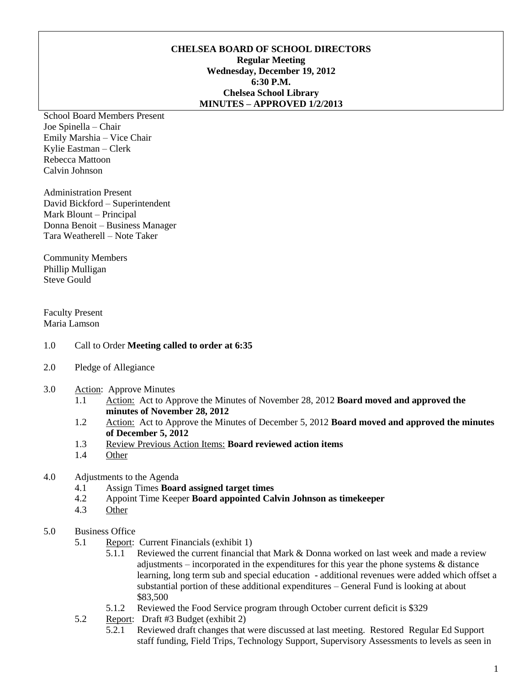### **CHELSEA BOARD OF SCHOOL DIRECTORS Regular Meeting Wednesday, December 19, 2012 6:30 P.M. Chelsea School Library MINUTES – APPROVED 1/2/2013**

School Board Members Present Joe Spinella – Chair Emily Marshia – Vice Chair Kylie Eastman – Clerk Rebecca Mattoon Calvin Johnson

Administration Present David Bickford – Superintendent Mark Blount – Principal Donna Benoit – Business Manager Tara Weatherell – Note Taker

Community Members Phillip Mulligan Steve Gould

Faculty Present Maria Lamson

- 1.0 Call to Order **Meeting called to order at 6:35**
- 2.0 Pledge of Allegiance
- 3.0 Action: Approve Minutes
	- 1.1 Action: Act to Approve the Minutes of November 28, 2012 **Board moved and approved the minutes of November 28, 2012**
	- 1.2 Action: Act to Approve the Minutes of December 5, 2012 **Board moved and approved the minutes of December 5, 2012**
	- 1.3 Review Previous Action Items: **Board reviewed action items**
	- 1.4 Other

#### 4.0 Adjustments to the Agenda

- 4.1 Assign Times **Board assigned target times**
- 4.2 Appoint Time Keeper **Board appointed Calvin Johnson as timekeeper**
- 4.3 Other

#### 5.0 Business Office

- 5.1 Report: Current Financials (exhibit 1)
	- 5.1.1 Reviewed the current financial that Mark & Donna worked on last week and made a review adjustments – incorporated in the expenditures for this year the phone systems & distance learning, long term sub and special education - additional revenues were added which offset a substantial portion of these additional expenditures – General Fund is looking at about \$83,500
	- 5.1.2 Reviewed the Food Service program through October current deficit is \$329
- 5.2 Report: Draft #3 Budget (exhibit 2)
	- 5.2.1 Reviewed draft changes that were discussed at last meeting. Restored Regular Ed Support staff funding, Field Trips, Technology Support, Supervisory Assessments to levels as seen in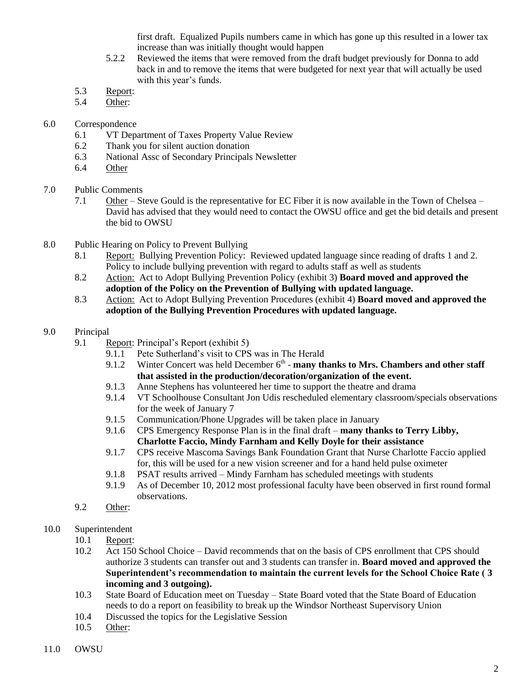first draft. Equalized Pupils numbers came in which has gone up this resulted in a lower tax increase than was initially thought would happen

- 5.2.2 Reviewed the items that were removed from the draft budget previously for Donna to add back in and to remove the items that were budgeted for next year that will actually be used with this year's funds.
- 5.3 Report:
- 5.4 Other:
- 6.0 Correspondence
	- 6.1 VT Department of Taxes Property Value Review
	- 6.2 Thank you for silent auction donation
	- 6.3 National Assc of Secondary Principals Newsletter
	- 6.4 Other
- 7.0 Public Comments
	- 7.1 Other Steve Gould is the representative for EC Fiber it is now available in the Town of Chelsea David has advised that they would need to contact the OWSU office and get the bid details and present the bid to OWSU
- 8.0 Public Hearing on Policy to Prevent Bullying
	- 8.1 Report: Bullying Prevention Policy: Reviewed updated language since reading of drafts 1 and 2. Policy to include bullying prevention with regard to adults staff as well as students
	- 8.2 Action: Act to Adopt Bullying Prevention Policy (exhibit 3) **Board moved and approved the adoption of the Policy on the Prevention of Bullying with updated language.**
	- 8.3 Action: Act to Adopt Bullying Prevention Procedures (exhibit 4) **Board moved and approved the adoption of the Bullying Prevention Procedures with updated language.**

# 9.0 Principal

- 9.1 Report: Principal's Report (exhibit 5)
	- 9.1.1 Pete Sutherland's visit to CPS was in The Herald
	- 9.1.2 Winter Concert was held December  $6<sup>th</sup>$  **many thanks to Mrs. Chambers and other staff that assisted in the production/decoration/organization of the event.**
	- 9.1.3 Anne Stephens has volunteered her time to support the theatre and drama
	- 9.1.4 VT Schoolhouse Consultant Jon Udis rescheduled elementary classroom/specials observations for the week of January 7
	- 9.1.5 Communication/Phone Upgrades will be taken place in January
	- 9.1.6 CPS Emergency Response Plan is in the final draft **many thanks to Terry Libby,** 
		- **Charlotte Faccio, Mindy Farnham and Kelly Doyle for their assistance**
	- 9.1.7 CPS receive Mascoma Savings Bank Foundation Grant that Nurse Charlotte Faccio applied for, this will be used for a new vision screener and for a hand held pulse oximeter
	- 9.1.8 PSAT results arrived Mindy Farnham has scheduled meetings with students
	- 9.1.9 As of December 10, 2012 most professional faculty have been observed in first round formal observations.
- 9.2 Other:
- 10.0 Superintendent
	- 10.1 Report:
	- 10.2 Act 150 School Choice David recommends that on the basis of CPS enrollment that CPS should authorize 3 students can transfer out and 3 students can transfer in. **Board moved and approved the Superintendent's recommendation to maintain the current levels for the School Choice Rate ( 3 incoming and 3 outgoing).**
	- 10.3 State Board of Education meet on Tuesday State Board voted that the State Board of Education needs to do a report on feasibility to break up the Windsor Northeast Supervisory Union
	- 10.4 Discussed the topics for the Legislative Session
	- 10.5 Other: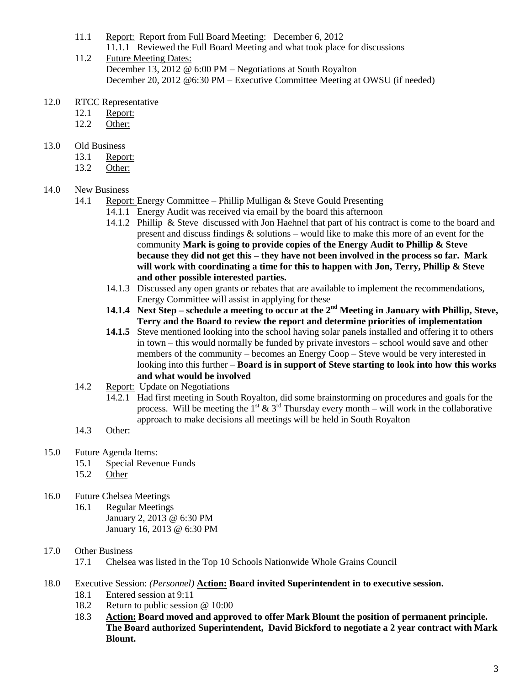- 11.1 Report: Report from Full Board Meeting: December 6, 2012 11.1.1 Reviewed the Full Board Meeting and what took place for discussions
- 11.2 Future Meeting Dates: December 13, 2012 @ 6:00 PM – Negotiations at South Royalton December 20, 2012 @6:30 PM – Executive Committee Meeting at OWSU (if needed)
- 12.0 RTCC Representative
	- 12.1 Report:
	- 12.2 Other:
- 13.0 Old Business
	- 13.1 Report:
	- 13.2 Other:

### 14.0 New Business

- 14.1 Report: Energy Committee Phillip Mulligan & Steve Gould Presenting
	- 14.1.1 Energy Audit was received via email by the board this afternoon
	- 14.1.2 Phillip & Steve discussed with Jon Haehnel that part of his contract is come to the board and present and discuss findings & solutions – would like to make this more of an event for the community **Mark is going to provide copies of the Energy Audit to Phillip & Steve because they did not get this – they have not been involved in the process so far. Mark will work with coordinating a time for this to happen with Jon, Terry, Phillip & Steve and other possible interested parties.**
	- 14.1.3 Discussed any open grants or rebates that are available to implement the recommendations, Energy Committee will assist in applying for these
	- **14.1.4 Next Step – schedule a meeting to occur at the 2nd Meeting in January with Phillip, Steve, Terry and the Board to review the report and determine priorities of implementation**
	- **14.1.5** Steve mentioned looking into the school having solar panels installed and offering it to others in town – this would normally be funded by private investors – school would save and other members of the community – becomes an Energy Coop – Steve would be very interested in looking into this further – **Board is in support of Steve starting to look into how this works and what would be involved**
- 14.2 Report: Update on Negotiations
	- 14.2.1 Had first meeting in South Royalton, did some brainstorming on procedures and goals for the process. Will be meeting the  $1^{st}$  &  $3^{rd}$  Thursday every month – will work in the collaborative approach to make decisions all meetings will be held in South Royalton
- 14.3 Other:
- 15.0 Future Agenda Items:
	- 15.1 Special Revenue Funds
	- 15.2 Other
- 16.0 Future Chelsea Meetings
	- 16.1 Regular Meetings January 2, 2013 @ 6:30 PM January 16, 2013 @ 6:30 PM

# 17.0 Other Business

17.1 Chelsea was listed in the Top 10 Schools Nationwide Whole Grains Council

- 18.0 Executive Session: *(Personnel)* **Action: Board invited Superintendent in to executive session.**
	- 18.1 Entered session at 9:11
	- 18.2 Return to public session @ 10:00
	- 18.3 **Action: Board moved and approved to offer Mark Blount the position of permanent principle. The Board authorized Superintendent, David Bickford to negotiate a 2 year contract with Mark Blount.**